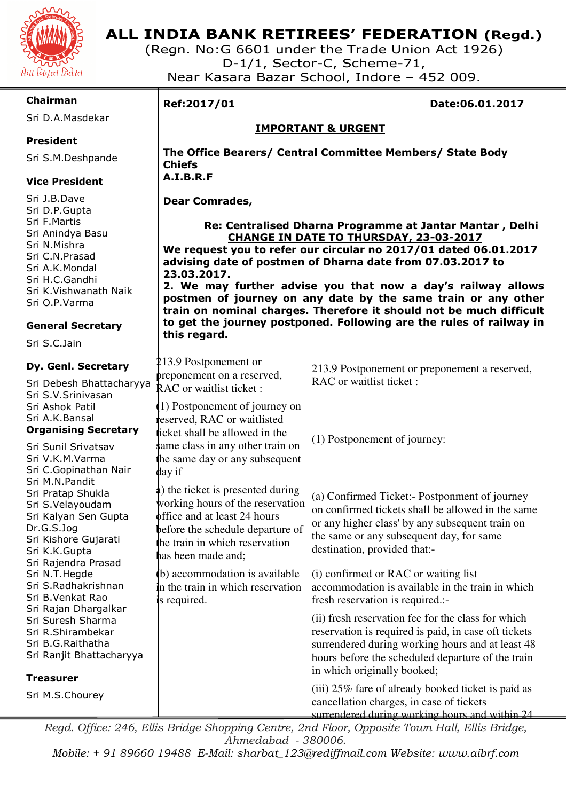

# **ALL INDIA BANK RETIREES' FEDERATION (Regd.)**

(Regn. No:G 6601 under the Trade Union Act 1926) D-1/1, Sector-C, Scheme-71, Near Kasara Bazar School, Indore – 452 009.

## **Chairman**

Sri D.A.Masdekar

# **President**

Sri S.M.Deshpande

# **Vice President**

Sri J.B.Dave Sri D.P.Gupta Sri F.Martis Sri Anindya Basu Sri N.Mishra Sri C.N.Prasad Sri A.K.Mondal Sri H.C.Gandhi Sri K.Vishwanath Naik Sri O.P.Varma

## **General Secretary**

Sri S.C.Jain

## **Dy. Genl. Secretary**

Sri Debesh Bhattacharyya Sri S.V.Srinivasan Sri Ashok Patil Sri A.K.Bansal **Organising Secretary** 

Sri Sunil Srivatsav Sri V.K.M.Varma Sri C.Gopinathan Nair Sri M.N.Pandit Sri Pratap Shukla Sri S.Velayoudam Sri Kalyan Sen Gupta Dr.G.S.Jog Sri Kishore Gujarati Sri K.K.Gupta Sri Rajendra Prasad Sri N.T.Hegde Sri S.Radhakrishnan Sri B.Venkat Rao Sri Rajan Dhargalkar Sri Suresh Sharma Sri R.Shirambekar Sri B.G.Raithatha Sri Ranjit Bhattacharyya

## **Treasurer**

Sri M.S.Chourey

# I

## **Ref:2017/01 Date:06.01.2017**

# **IMPORTANT & URGENT**

**The Office Bearers/ Central Committee Members/ State Body Chiefs A.I.B.R.F** 

**Dear Comrades,** 

 **Re: Centralised Dharna Programme at Jantar Mantar , Delhi CHANGE IN DATE TO THURSDAY, 23-03-2017 We request you to refer our circular no 2017/01 dated 06.01.2017 advising date of postmen of Dharna date from 07.03.2017 to 23.03.2017. 2. We may further advise you that now a day's railway allows postmen of journey on any date by the same train or any other train on nominal charges. Therefore it should not be much difficult to get the journey postponed. Following are the rules of railway in this regard.** 

213.9 Postponement or preponement on a reserved, RAC or waitlist ticket :

(1) Postponement of journey on reserved, RAC or waitlisted ticket shall be allowed in the same class in any other train on the same day or any subsequent day if

a) the ticket is presented during working hours of the reservation office and at least 24 hours before the schedule departure of the train in which reservation has been made and;

(b) accommodation is available in the train in which reservation is required.

 $\overline{\phantom{a}}$ 

213.9 Postponement or preponement a reserved, RAC or waitlist ticket ·

(1) Postponement of journey:

(a) Confirmed Ticket:- Postponment of journey on confirmed tickets shall be allowed in the same or any higher class' by any subsequent train on the same or any subsequent day, for same destination, provided that:-

(i) confirmed or RAC or waiting list accommodation is available in the train in which fresh reservation is required.:-

(ii) fresh reservation fee for the class for which reservation is required is paid, in case oft tickets surrendered during working hours and at least 48 hours before the scheduled departure of the train in which originally booked;

(iii) 25% fare of already booked ticket is paid as cancellation charges, in case of tickets

*Regd. Office: 246, Ellis Bridge Shopping Centre, 2nd Floor, Opposite Town Hall, Ellis Bridge, Ahmedabad - 380006.*  surrendered during working hours and within 24

*Mobile: + 91 89660 19488 E-Mail: sharbat\_123@rediffmail.com Website: www.aibrf.com*